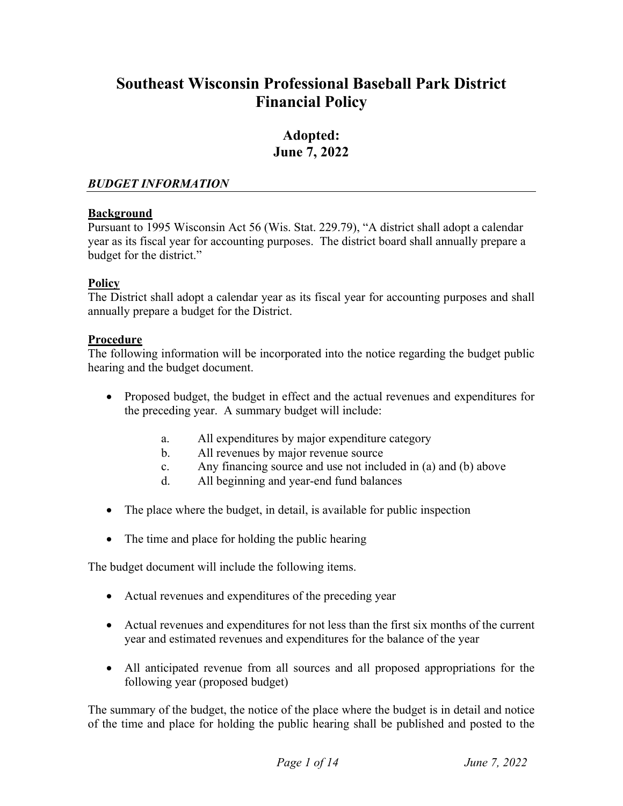# **Southeast Wisconsin Professional Baseball Park District Financial Policy**

# **Adopted: June 7, 2022**

#### *BUDGET INFORMATION*

## **Background**

Pursuant to 1995 Wisconsin Act 56 (Wis. Stat. 229.79), "A district shall adopt a calendar year as its fiscal year for accounting purposes. The district board shall annually prepare a budget for the district."

# **Policy**

The District shall adopt a calendar year as its fiscal year for accounting purposes and shall annually prepare a budget for the District.

## **Procedure**

The following information will be incorporated into the notice regarding the budget public hearing and the budget document.

- Proposed budget, the budget in effect and the actual revenues and expenditures for the preceding year. A summary budget will include:
	- a. All expenditures by major expenditure category
	- b. All revenues by major revenue source
	- c. Any financing source and use not included in (a) and (b) above
	- d. All beginning and year-end fund balances
- The place where the budget, in detail, is available for public inspection
- The time and place for holding the public hearing

The budget document will include the following items.

- Actual revenues and expenditures of the preceding year
- Actual revenues and expenditures for not less than the first six months of the current year and estimated revenues and expenditures for the balance of the year
- All anticipated revenue from all sources and all proposed appropriations for the following year (proposed budget)

The summary of the budget, the notice of the place where the budget is in detail and notice of the time and place for holding the public hearing shall be published and posted to the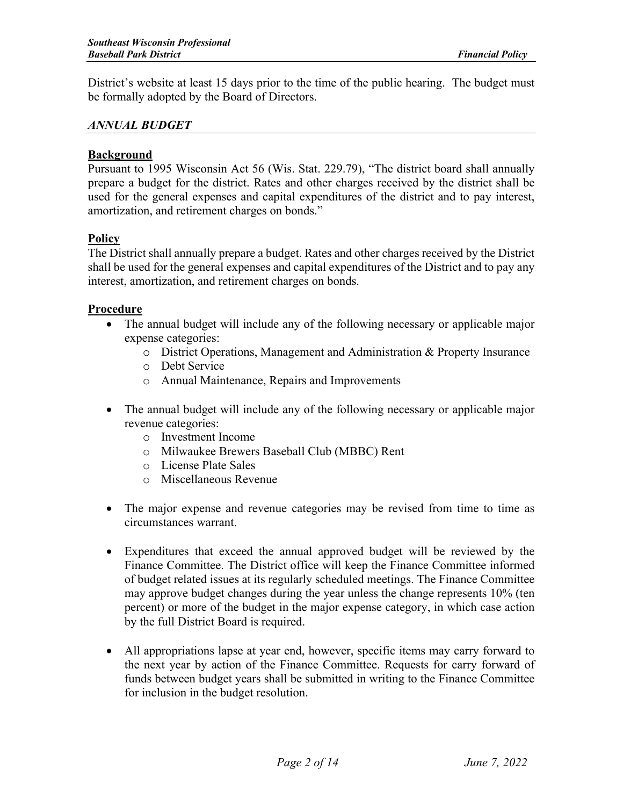District's website at least 15 days prior to the time of the public hearing. The budget must be formally adopted by the Board of Directors.

#### *ANNUAL BUDGET*

#### **Background**

Pursuant to 1995 Wisconsin Act 56 (Wis. Stat. 229.79), "The district board shall annually prepare a budget for the district. Rates and other charges received by the district shall be used for the general expenses and capital expenditures of the district and to pay interest, amortization, and retirement charges on bonds."

#### **Policy**

The District shall annually prepare a budget. Rates and other charges received by the District shall be used for the general expenses and capital expenditures of the District and to pay any interest, amortization, and retirement charges on bonds.

#### **Procedure**

- The annual budget will include any of the following necessary or applicable major expense categories:
	- o District Operations, Management and Administration & Property Insurance
	- o Debt Service
	- o Annual Maintenance, Repairs and Improvements
- The annual budget will include any of the following necessary or applicable major revenue categories:
	- o Investment Income
	- o Milwaukee Brewers Baseball Club (MBBC) Rent
	- o License Plate Sales
	- o Miscellaneous Revenue
- The major expense and revenue categories may be revised from time to time as circumstances warrant.
- Expenditures that exceed the annual approved budget will be reviewed by the Finance Committee. The District office will keep the Finance Committee informed of budget related issues at its regularly scheduled meetings. The Finance Committee may approve budget changes during the year unless the change represents 10% (ten percent) or more of the budget in the major expense category, in which case action by the full District Board is required.
- All appropriations lapse at year end, however, specific items may carry forward to the next year by action of the Finance Committee. Requests for carry forward of funds between budget years shall be submitted in writing to the Finance Committee for inclusion in the budget resolution.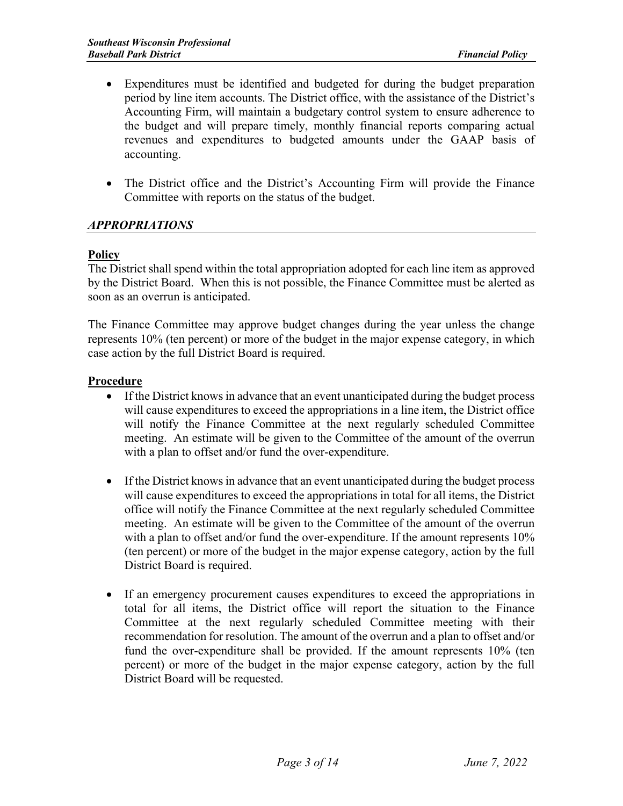- Expenditures must be identified and budgeted for during the budget preparation period by line item accounts. The District office, with the assistance of the District's Accounting Firm, will maintain a budgetary control system to ensure adherence to the budget and will prepare timely, monthly financial reports comparing actual revenues and expenditures to budgeted amounts under the GAAP basis of accounting.
- The District office and the District's Accounting Firm will provide the Finance Committee with reports on the status of the budget.

# *APPROPRIATIONS*

## **Policy**

The District shall spend within the total appropriation adopted for each line item as approved by the District Board. When this is not possible, the Finance Committee must be alerted as soon as an overrun is anticipated.

The Finance Committee may approve budget changes during the year unless the change represents 10% (ten percent) or more of the budget in the major expense category, in which case action by the full District Board is required.

## **Procedure**

- If the District knows in advance that an event unanticipated during the budget process will cause expenditures to exceed the appropriations in a line item, the District office will notify the Finance Committee at the next regularly scheduled Committee meeting. An estimate will be given to the Committee of the amount of the overrun with a plan to offset and/or fund the over-expenditure.
- If the District knows in advance that an event unanticipated during the budget process will cause expenditures to exceed the appropriations in total for all items, the District office will notify the Finance Committee at the next regularly scheduled Committee meeting. An estimate will be given to the Committee of the amount of the overrun with a plan to offset and/or fund the over-expenditure. If the amount represents 10% (ten percent) or more of the budget in the major expense category, action by the full District Board is required.
- If an emergency procurement causes expenditures to exceed the appropriations in total for all items, the District office will report the situation to the Finance Committee at the next regularly scheduled Committee meeting with their recommendation for resolution. The amount of the overrun and a plan to offset and/or fund the over-expenditure shall be provided. If the amount represents 10% (ten percent) or more of the budget in the major expense category, action by the full District Board will be requested.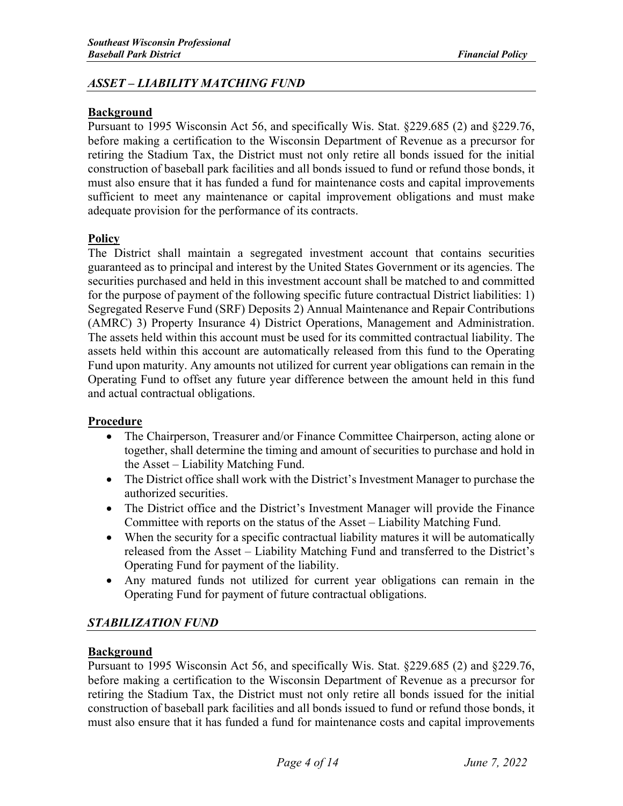## *ASSET – LIABILITY MATCHING FUND*

#### **Background**

Pursuant to 1995 Wisconsin Act 56, and specifically Wis. Stat. §229.685 (2) and §229.76, before making a certification to the Wisconsin Department of Revenue as a precursor for retiring the Stadium Tax, the District must not only retire all bonds issued for the initial construction of baseball park facilities and all bonds issued to fund or refund those bonds, it must also ensure that it has funded a fund for maintenance costs and capital improvements sufficient to meet any maintenance or capital improvement obligations and must make adequate provision for the performance of its contracts.

# **Policy**

The District shall maintain a segregated investment account that contains securities guaranteed as to principal and interest by the United States Government or its agencies. The securities purchased and held in this investment account shall be matched to and committed for the purpose of payment of the following specific future contractual District liabilities: 1) Segregated Reserve Fund (SRF) Deposits 2) Annual Maintenance and Repair Contributions (AMRC) 3) Property Insurance 4) District Operations, Management and Administration. The assets held within this account must be used for its committed contractual liability. The assets held within this account are automatically released from this fund to the Operating Fund upon maturity. Any amounts not utilized for current year obligations can remain in the Operating Fund to offset any future year difference between the amount held in this fund and actual contractual obligations.

#### **Procedure**

- The Chairperson, Treasurer and/or Finance Committee Chairperson, acting alone or together, shall determine the timing and amount of securities to purchase and hold in the Asset – Liability Matching Fund.
- The District office shall work with the District's Investment Manager to purchase the authorized securities.
- The District office and the District's Investment Manager will provide the Finance Committee with reports on the status of the Asset – Liability Matching Fund.
- When the security for a specific contractual liability matures it will be automatically released from the Asset – Liability Matching Fund and transferred to the District's Operating Fund for payment of the liability.
- Any matured funds not utilized for current year obligations can remain in the Operating Fund for payment of future contractual obligations.

#### *STABILIZATION FUND*

#### **Background**

Pursuant to 1995 Wisconsin Act 56, and specifically Wis. Stat. §229.685 (2) and §229.76, before making a certification to the Wisconsin Department of Revenue as a precursor for retiring the Stadium Tax, the District must not only retire all bonds issued for the initial construction of baseball park facilities and all bonds issued to fund or refund those bonds, it must also ensure that it has funded a fund for maintenance costs and capital improvements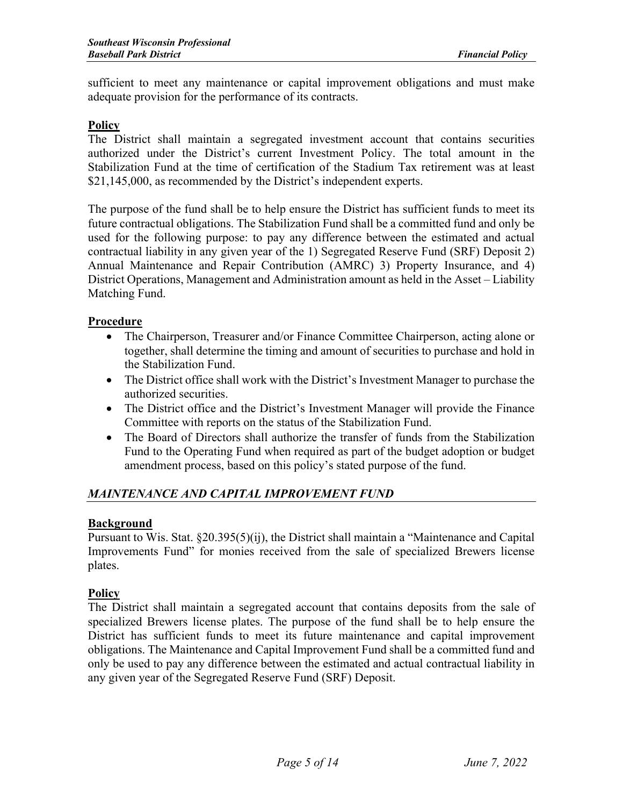sufficient to meet any maintenance or capital improvement obligations and must make adequate provision for the performance of its contracts.

#### **Policy**

The District shall maintain a segregated investment account that contains securities authorized under the District's current Investment Policy. The total amount in the Stabilization Fund at the time of certification of the Stadium Tax retirement was at least \$21,145,000, as recommended by the District's independent experts.

The purpose of the fund shall be to help ensure the District has sufficient funds to meet its future contractual obligations. The Stabilization Fund shall be a committed fund and only be used for the following purpose: to pay any difference between the estimated and actual contractual liability in any given year of the 1) Segregated Reserve Fund (SRF) Deposit 2) Annual Maintenance and Repair Contribution (AMRC) 3) Property Insurance, and 4) District Operations, Management and Administration amount as held in the Asset – Liability Matching Fund.

#### **Procedure**

- The Chairperson, Treasurer and/or Finance Committee Chairperson, acting alone or together, shall determine the timing and amount of securities to purchase and hold in the Stabilization Fund.
- The District office shall work with the District's Investment Manager to purchase the authorized securities.
- The District office and the District's Investment Manager will provide the Finance Committee with reports on the status of the Stabilization Fund.
- The Board of Directors shall authorize the transfer of funds from the Stabilization Fund to the Operating Fund when required as part of the budget adoption or budget amendment process, based on this policy's stated purpose of the fund.

# *MAINTENANCE AND CAPITAL IMPROVEMENT FUND*

#### **Background**

Pursuant to Wis. Stat. §20.395(5)(ij), the District shall maintain a "Maintenance and Capital Improvements Fund" for monies received from the sale of specialized Brewers license plates.

#### **Policy**

The District shall maintain a segregated account that contains deposits from the sale of specialized Brewers license plates. The purpose of the fund shall be to help ensure the District has sufficient funds to meet its future maintenance and capital improvement obligations. The Maintenance and Capital Improvement Fund shall be a committed fund and only be used to pay any difference between the estimated and actual contractual liability in any given year of the Segregated Reserve Fund (SRF) Deposit.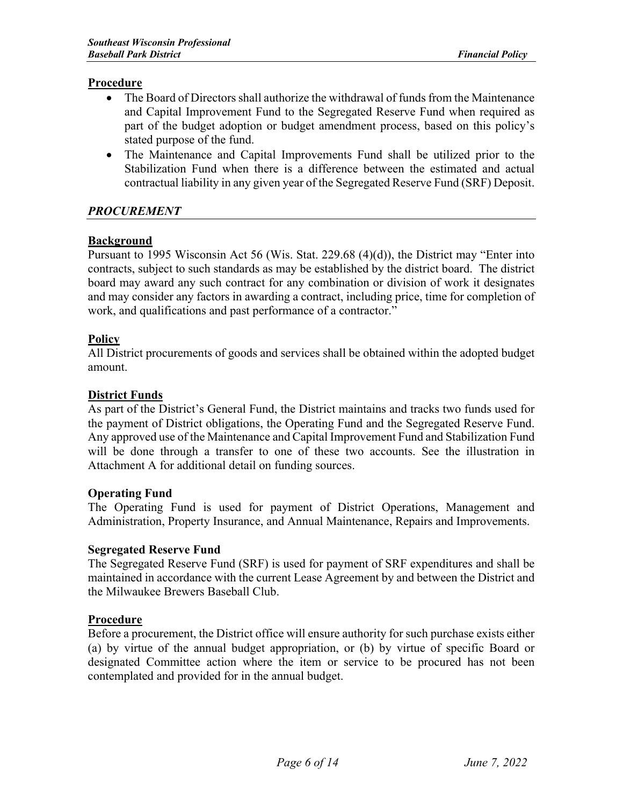#### **Procedure**

- The Board of Directors shall authorize the withdrawal of funds from the Maintenance and Capital Improvement Fund to the Segregated Reserve Fund when required as part of the budget adoption or budget amendment process, based on this policy's stated purpose of the fund.
- The Maintenance and Capital Improvements Fund shall be utilized prior to the Stabilization Fund when there is a difference between the estimated and actual contractual liability in any given year of the Segregated Reserve Fund (SRF) Deposit.

## *PROCUREMENT*

#### **Background**

Pursuant to 1995 Wisconsin Act 56 (Wis. Stat. 229.68 (4)(d)), the District may "Enter into contracts, subject to such standards as may be established by the district board. The district board may award any such contract for any combination or division of work it designates and may consider any factors in awarding a contract, including price, time for completion of work, and qualifications and past performance of a contractor."

#### **Policy**

All District procurements of goods and services shall be obtained within the adopted budget amount.

## **District Funds**

As part of the District's General Fund, the District maintains and tracks two funds used for the payment of District obligations, the Operating Fund and the Segregated Reserve Fund. Any approved use of the Maintenance and Capital Improvement Fund and Stabilization Fund will be done through a transfer to one of these two accounts. See the illustration in Attachment A for additional detail on funding sources.

#### **Operating Fund**

The Operating Fund is used for payment of District Operations, Management and Administration, Property Insurance, and Annual Maintenance, Repairs and Improvements.

#### **Segregated Reserve Fund**

The Segregated Reserve Fund (SRF) is used for payment of SRF expenditures and shall be maintained in accordance with the current Lease Agreement by and between the District and the Milwaukee Brewers Baseball Club.

#### **Procedure**

Before a procurement, the District office will ensure authority for such purchase exists either (a) by virtue of the annual budget appropriation, or (b) by virtue of specific Board or designated Committee action where the item or service to be procured has not been contemplated and provided for in the annual budget.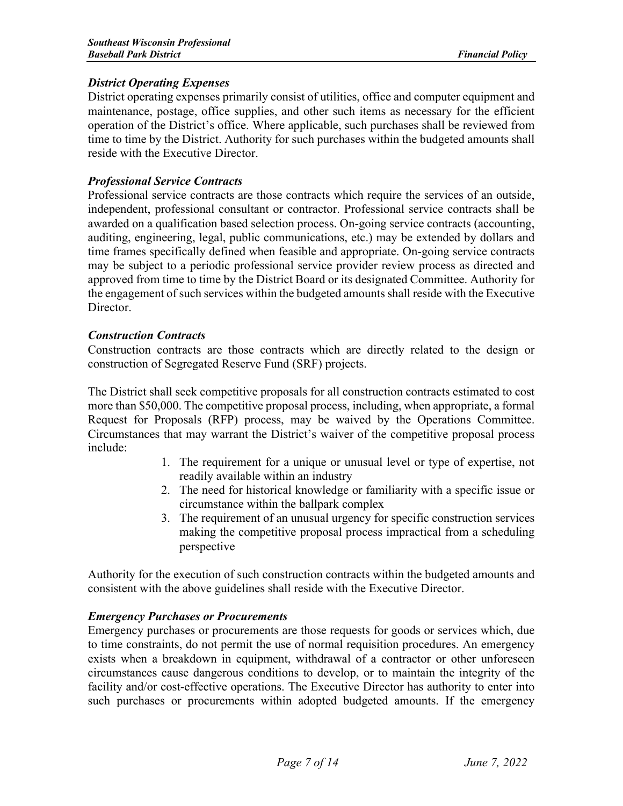## *District Operating Expenses*

District operating expenses primarily consist of utilities, office and computer equipment and maintenance, postage, office supplies, and other such items as necessary for the efficient operation of the District's office. Where applicable, such purchases shall be reviewed from time to time by the District. Authority for such purchases within the budgeted amounts shall reside with the Executive Director.

# *Professional Service Contracts*

Professional service contracts are those contracts which require the services of an outside, independent, professional consultant or contractor. Professional service contracts shall be awarded on a qualification based selection process. On-going service contracts (accounting, auditing, engineering, legal, public communications, etc.) may be extended by dollars and time frames specifically defined when feasible and appropriate. On-going service contracts may be subject to a periodic professional service provider review process as directed and approved from time to time by the District Board or its designated Committee. Authority for the engagement of such services within the budgeted amounts shall reside with the Executive Director.

## *Construction Contracts*

Construction contracts are those contracts which are directly related to the design or construction of Segregated Reserve Fund (SRF) projects.

The District shall seek competitive proposals for all construction contracts estimated to cost more than \$50,000. The competitive proposal process, including, when appropriate, a formal Request for Proposals (RFP) process, may be waived by the Operations Committee. Circumstances that may warrant the District's waiver of the competitive proposal process include:

- 1. The requirement for a unique or unusual level or type of expertise, not readily available within an industry
- 2. The need for historical knowledge or familiarity with a specific issue or circumstance within the ballpark complex
- 3. The requirement of an unusual urgency for specific construction services making the competitive proposal process impractical from a scheduling perspective

Authority for the execution of such construction contracts within the budgeted amounts and consistent with the above guidelines shall reside with the Executive Director.

# *Emergency Purchases or Procurements*

Emergency purchases or procurements are those requests for goods or services which, due to time constraints, do not permit the use of normal requisition procedures. An emergency exists when a breakdown in equipment, withdrawal of a contractor or other unforeseen circumstances cause dangerous conditions to develop, or to maintain the integrity of the facility and/or cost-effective operations. The Executive Director has authority to enter into such purchases or procurements within adopted budgeted amounts. If the emergency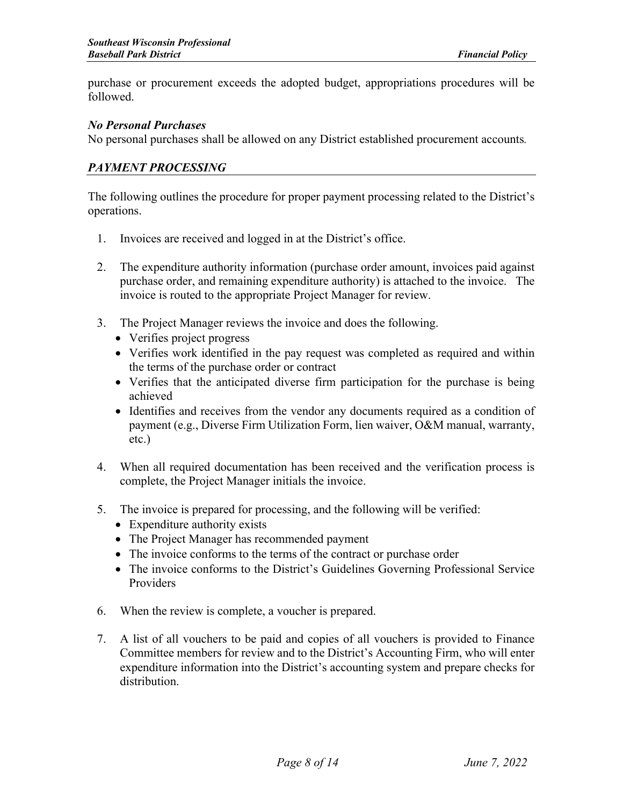purchase or procurement exceeds the adopted budget, appropriations procedures will be followed.

#### *No Personal Purchases*

No personal purchases shall be allowed on any District established procurement accounts*.*

#### *PAYMENT PROCESSING*

The following outlines the procedure for proper payment processing related to the District's operations.

- 1. Invoices are received and logged in at the District's office.
- 2. The expenditure authority information (purchase order amount, invoices paid against purchase order, and remaining expenditure authority) is attached to the invoice. The invoice is routed to the appropriate Project Manager for review.
- 3. The Project Manager reviews the invoice and does the following.
	- Verifies project progress
	- Verifies work identified in the pay request was completed as required and within the terms of the purchase order or contract
	- Verifies that the anticipated diverse firm participation for the purchase is being achieved
	- Identifies and receives from the vendor any documents required as a condition of payment (e.g., Diverse Firm Utilization Form, lien waiver, O&M manual, warranty, etc.)
- 4. When all required documentation has been received and the verification process is complete, the Project Manager initials the invoice.
- 5. The invoice is prepared for processing, and the following will be verified:
	- Expenditure authority exists
	- The Project Manager has recommended payment
	- The invoice conforms to the terms of the contract or purchase order
	- The invoice conforms to the District's Guidelines Governing Professional Service Providers
- 6. When the review is complete, a voucher is prepared.
- 7. A list of all vouchers to be paid and copies of all vouchers is provided to Finance Committee members for review and to the District's Accounting Firm, who will enter expenditure information into the District's accounting system and prepare checks for distribution.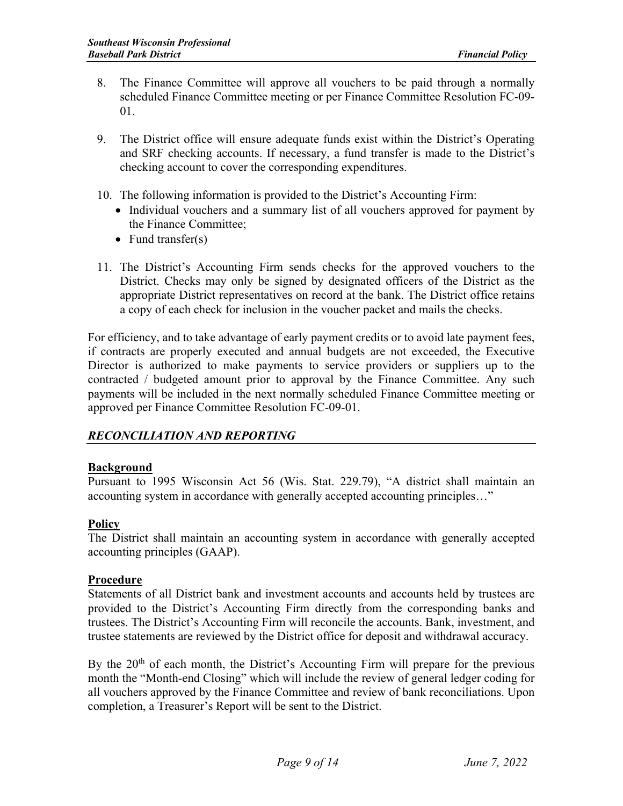- 8. The Finance Committee will approve all vouchers to be paid through a normally scheduled Finance Committee meeting or per Finance Committee Resolution FC-09- 01.
- 9. The District office will ensure adequate funds exist within the District's Operating and SRF checking accounts. If necessary, a fund transfer is made to the District's checking account to cover the corresponding expenditures.
- 10. The following information is provided to the District's Accounting Firm:
	- Individual vouchers and a summary list of all vouchers approved for payment by the Finance Committee;
	- Fund transfer(s)
- 11. The District's Accounting Firm sends checks for the approved vouchers to the District. Checks may only be signed by designated officers of the District as the appropriate District representatives on record at the bank. The District office retains a copy of each check for inclusion in the voucher packet and mails the checks.

For efficiency, and to take advantage of early payment credits or to avoid late payment fees, if contracts are properly executed and annual budgets are not exceeded, the Executive Director is authorized to make payments to service providers or suppliers up to the contracted / budgeted amount prior to approval by the Finance Committee. Any such payments will be included in the next normally scheduled Finance Committee meeting or approved per Finance Committee Resolution FC-09-01.

# *RECONCILIATION AND REPORTING*

# **Background**

Pursuant to 1995 Wisconsin Act 56 (Wis. Stat. 229.79), "A district shall maintain an accounting system in accordance with generally accepted accounting principles…"

# **Policy**

The District shall maintain an accounting system in accordance with generally accepted accounting principles (GAAP).

#### **Procedure**

Statements of all District bank and investment accounts and accounts held by trustees are provided to the District's Accounting Firm directly from the corresponding banks and trustees. The District's Accounting Firm will reconcile the accounts. Bank, investment, and trustee statements are reviewed by the District office for deposit and withdrawal accuracy.

By the  $20<sup>th</sup>$  of each month, the District's Accounting Firm will prepare for the previous month the "Month-end Closing" which will include the review of general ledger coding for all vouchers approved by the Finance Committee and review of bank reconciliations. Upon completion, a Treasurer's Report will be sent to the District.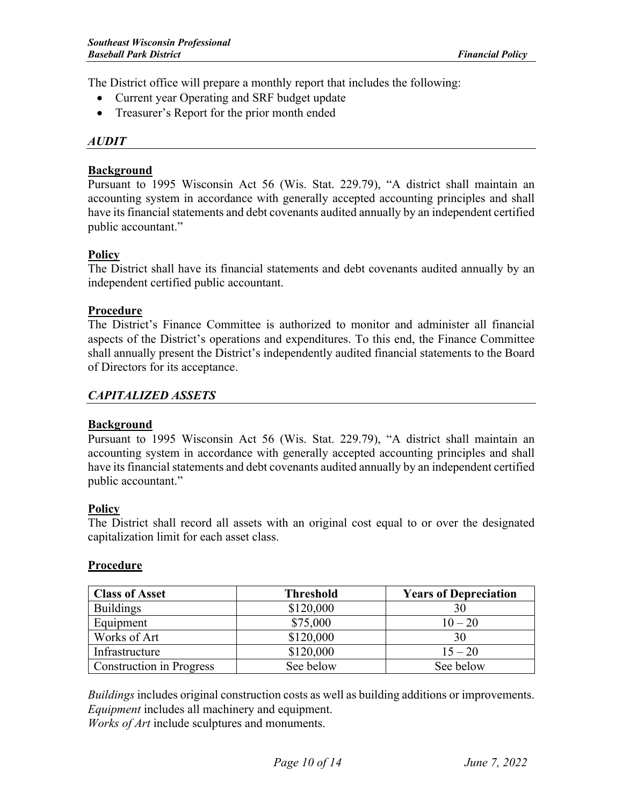The District office will prepare a monthly report that includes the following:

- Current year Operating and SRF budget update
- Treasurer's Report for the prior month ended

#### *AUDIT*

#### **Background**

Pursuant to 1995 Wisconsin Act 56 (Wis. Stat. 229.79), "A district shall maintain an accounting system in accordance with generally accepted accounting principles and shall have its financial statements and debt covenants audited annually by an independent certified public accountant."

## **Policy**

The District shall have its financial statements and debt covenants audited annually by an independent certified public accountant.

#### **Procedure**

The District's Finance Committee is authorized to monitor and administer all financial aspects of the District's operations and expenditures. To this end, the Finance Committee shall annually present the District's independently audited financial statements to the Board of Directors for its acceptance.

## *CAPITALIZED ASSETS*

#### **Background**

Pursuant to 1995 Wisconsin Act 56 (Wis. Stat. 229.79), "A district shall maintain an accounting system in accordance with generally accepted accounting principles and shall have its financial statements and debt covenants audited annually by an independent certified public accountant."

#### **Policy**

The District shall record all assets with an original cost equal to or over the designated capitalization limit for each asset class.

#### **Procedure**

| <b>Class of Asset</b>           | <b>Threshold</b> | <b>Years of Depreciation</b> |
|---------------------------------|------------------|------------------------------|
| <b>Buildings</b>                | \$120,000        | 30                           |
| Equipment                       | \$75,000         | $10 - 20$                    |
| Works of Art                    | \$120,000        | 30                           |
| Infrastructure                  | \$120,000        | $15 - 20$                    |
| <b>Construction in Progress</b> | See below        | See below                    |

*Buildings* includes original construction costs as well as building additions or improvements. *Equipment* includes all machinery and equipment.

*Works of Art* include sculptures and monuments.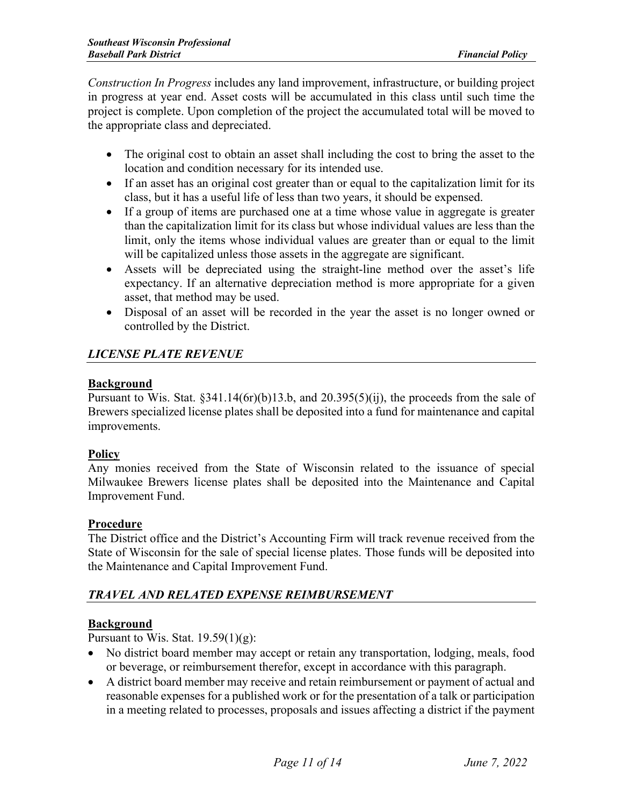*Construction In Progress* includes any land improvement, infrastructure, or building project in progress at year end. Asset costs will be accumulated in this class until such time the project is complete. Upon completion of the project the accumulated total will be moved to the appropriate class and depreciated.

- The original cost to obtain an asset shall including the cost to bring the asset to the location and condition necessary for its intended use.
- If an asset has an original cost greater than or equal to the capitalization limit for its class, but it has a useful life of less than two years, it should be expensed.
- If a group of items are purchased one at a time whose value in aggregate is greater than the capitalization limit for its class but whose individual values are less than the limit, only the items whose individual values are greater than or equal to the limit will be capitalized unless those assets in the aggregate are significant.
- Assets will be depreciated using the straight-line method over the asset's life expectancy. If an alternative depreciation method is more appropriate for a given asset, that method may be used.
- Disposal of an asset will be recorded in the year the asset is no longer owned or controlled by the District.

# *LICENSE PLATE REVENUE*

## **Background**

Pursuant to Wis. Stat. §341.14(6r)(b)13.b, and 20.395(5)(ij), the proceeds from the sale of Brewers specialized license plates shall be deposited into a fund for maintenance and capital improvements.

# **Policy**

Any monies received from the State of Wisconsin related to the issuance of special Milwaukee Brewers license plates shall be deposited into the Maintenance and Capital Improvement Fund.

#### **Procedure**

The District office and the District's Accounting Firm will track revenue received from the State of Wisconsin for the sale of special license plates. Those funds will be deposited into the Maintenance and Capital Improvement Fund.

# *TRAVEL AND RELATED EXPENSE REIMBURSEMENT*

# **Background**

Pursuant to Wis. Stat.  $19.59(1)(g)$ :

- No district board member may accept or retain any transportation, lodging, meals, food or beverage, or reimbursement therefor, except in accordance with this paragraph.
- A district board member may receive and retain reimbursement or payment of actual and reasonable expenses for a published work or for the presentation of a talk or participation in a meeting related to processes, proposals and issues affecting a district if the payment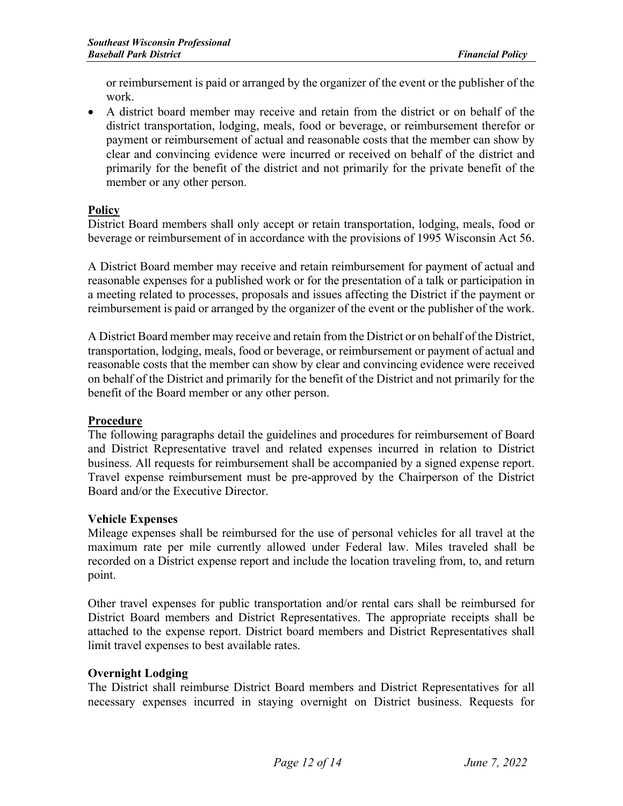or reimbursement is paid or arranged by the organizer of the event or the publisher of the work.

• A district board member may receive and retain from the district or on behalf of the district transportation, lodging, meals, food or beverage, or reimbursement therefor or payment or reimbursement of actual and reasonable costs that the member can show by clear and convincing evidence were incurred or received on behalf of the district and primarily for the benefit of the district and not primarily for the private benefit of the member or any other person.

## **Policy**

District Board members shall only accept or retain transportation, lodging, meals, food or beverage or reimbursement of in accordance with the provisions of 1995 Wisconsin Act 56.

A District Board member may receive and retain reimbursement for payment of actual and reasonable expenses for a published work or for the presentation of a talk or participation in a meeting related to processes, proposals and issues affecting the District if the payment or reimbursement is paid or arranged by the organizer of the event or the publisher of the work.

A District Board member may receive and retain from the District or on behalf of the District, transportation, lodging, meals, food or beverage, or reimbursement or payment of actual and reasonable costs that the member can show by clear and convincing evidence were received on behalf of the District and primarily for the benefit of the District and not primarily for the benefit of the Board member or any other person.

#### **Procedure**

The following paragraphs detail the guidelines and procedures for reimbursement of Board and District Representative travel and related expenses incurred in relation to District business. All requests for reimbursement shall be accompanied by a signed expense report. Travel expense reimbursement must be pre-approved by the Chairperson of the District Board and/or the Executive Director.

#### **Vehicle Expenses**

Mileage expenses shall be reimbursed for the use of personal vehicles for all travel at the maximum rate per mile currently allowed under Federal law. Miles traveled shall be recorded on a District expense report and include the location traveling from, to, and return point.

Other travel expenses for public transportation and/or rental cars shall be reimbursed for District Board members and District Representatives. The appropriate receipts shall be attached to the expense report. District board members and District Representatives shall limit travel expenses to best available rates.

#### **Overnight Lodging**

The District shall reimburse District Board members and District Representatives for all necessary expenses incurred in staying overnight on District business. Requests for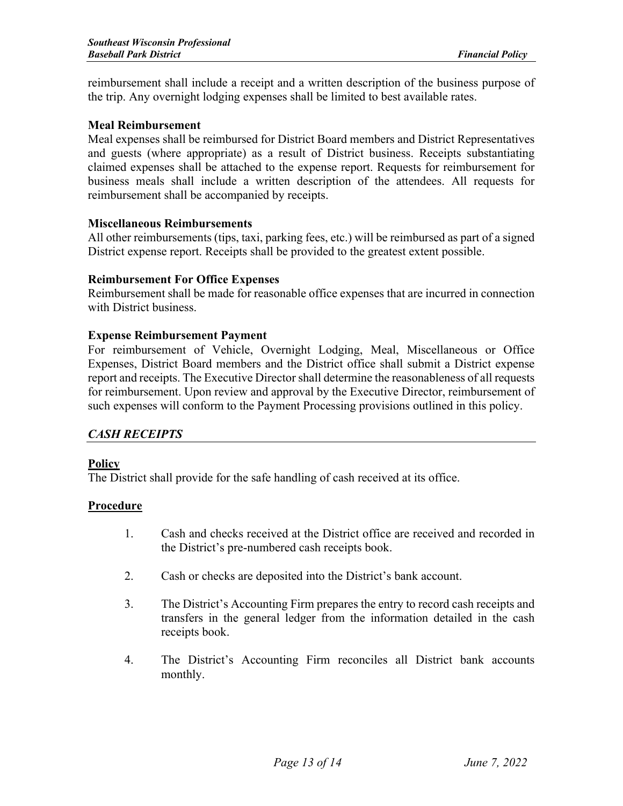reimbursement shall include a receipt and a written description of the business purpose of the trip. Any overnight lodging expenses shall be limited to best available rates.

#### **Meal Reimbursement**

Meal expenses shall be reimbursed for District Board members and District Representatives and guests (where appropriate) as a result of District business. Receipts substantiating claimed expenses shall be attached to the expense report. Requests for reimbursement for business meals shall include a written description of the attendees. All requests for reimbursement shall be accompanied by receipts.

#### **Miscellaneous Reimbursements**

All other reimbursements (tips, taxi, parking fees, etc.) will be reimbursed as part of a signed District expense report. Receipts shall be provided to the greatest extent possible.

#### **Reimbursement For Office Expenses**

Reimbursement shall be made for reasonable office expenses that are incurred in connection with District business.

#### **Expense Reimbursement Payment**

For reimbursement of Vehicle, Overnight Lodging, Meal, Miscellaneous or Office Expenses, District Board members and the District office shall submit a District expense report and receipts. The Executive Director shall determine the reasonableness of all requests for reimbursement. Upon review and approval by the Executive Director, reimbursement of such expenses will conform to the Payment Processing provisions outlined in this policy.

#### *CASH RECEIPTS*

#### **Policy**

The District shall provide for the safe handling of cash received at its office.

#### **Procedure**

- 1. Cash and checks received at the District office are received and recorded in the District's pre-numbered cash receipts book.
- 2. Cash or checks are deposited into the District's bank account.
- 3. The District's Accounting Firm prepares the entry to record cash receipts and transfers in the general ledger from the information detailed in the cash receipts book.
- 4. The District's Accounting Firm reconciles all District bank accounts monthly.